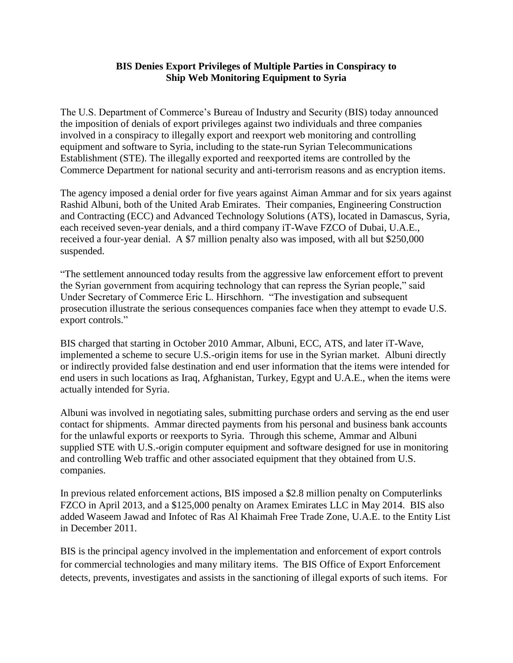## **BIS Denies Export Privileges of Multiple Parties in Conspiracy to Ship Web Monitoring Equipment to Syria**

The U.S. Department of Commerce's Bureau of Industry and Security (BIS) today announced the imposition of denials of export privileges against two individuals and three companies involved in a conspiracy to illegally export and reexport web monitoring and controlling equipment and software to Syria, including to the state-run Syrian Telecommunications Establishment (STE). The illegally exported and reexported items are controlled by the Commerce Department for national security and anti-terrorism reasons and as encryption items.

The agency imposed a denial order for five years against Aiman Ammar and for six years against Rashid Albuni, both of the United Arab Emirates. Their companies, Engineering Construction and Contracting (ECC) and Advanced Technology Solutions (ATS), located in Damascus, Syria, each received seven-year denials, and a third company iT-Wave FZCO of Dubai, U.A.E., received a four-year denial. A \$7 million penalty also was imposed, with all but \$250,000 suspended.

"The settlement announced today results from the aggressive law enforcement effort to prevent the Syrian government from acquiring technology that can repress the Syrian people," said Under Secretary of Commerce Eric L. Hirschhorn. "The investigation and subsequent prosecution illustrate the serious consequences companies face when they attempt to evade U.S. export controls."

BIS charged that starting in October 2010 Ammar, Albuni, ECC, ATS, and later iT-Wave, implemented a scheme to secure U.S.-origin items for use in the Syrian market. Albuni directly or indirectly provided false destination and end user information that the items were intended for end users in such locations as Iraq, Afghanistan, Turkey, Egypt and U.A.E., when the items were actually intended for Syria.

Albuni was involved in negotiating sales, submitting purchase orders and serving as the end user contact for shipments. Ammar directed payments from his personal and business bank accounts for the unlawful exports or reexports to Syria. Through this scheme, Ammar and Albuni supplied STE with U.S.-origin computer equipment and software designed for use in monitoring and controlling Web traffic and other associated equipment that they obtained from U.S. companies.

In previous related enforcement actions, BIS imposed a \$2.8 million penalty on Computerlinks FZCO in April 2013, and a \$125,000 penalty on Aramex Emirates LLC in May 2014. BIS also added Waseem Jawad and Infotec of Ras Al Khaimah Free Trade Zone, U.A.E. to the Entity List in December 2011.

BIS is the principal agency involved in the implementation and enforcement of export controls for commercial technologies and many military items. The BIS Office of Export Enforcement detects, prevents, investigates and assists in the sanctioning of illegal exports of such items. For